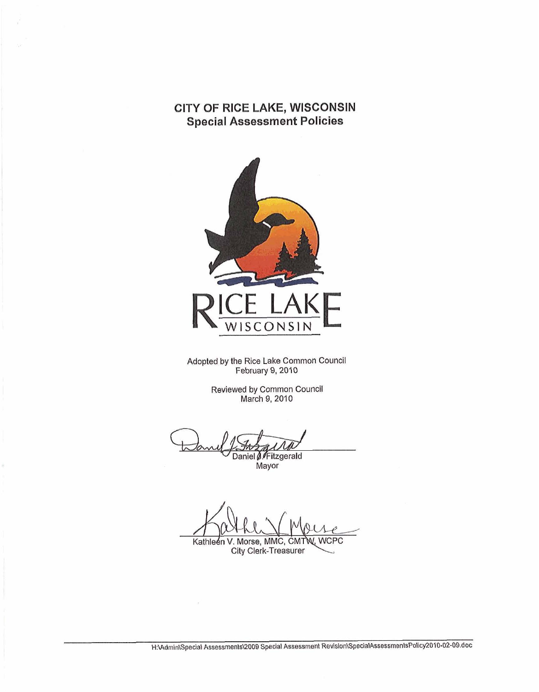# **CITY OF RICE LAKE, WISCONSIN Special Assessment Policies**



Adopted **by** the Rice Lake Common Council February 9,2010

> Reviewed **by** Common Council March 9,2010

Daniel . Fitzgerald

**Mayor** 

**WCPC** Kathleen V. Morse, MMC, CMTW City Clerk-Treasurer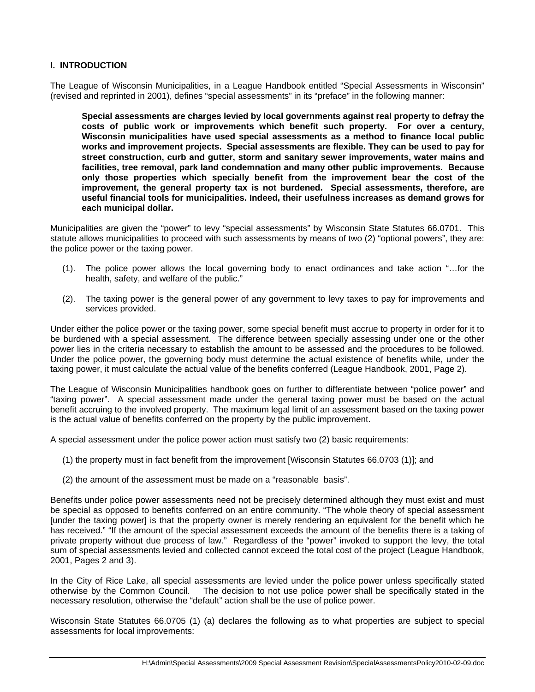### **I. INTRODUCTION**

The League of Wisconsin Municipalities, in a League Handbook entitled "Special Assessments in Wisconsin" (revised and reprinted in 2001), defines "special assessments" in its "preface" in the following manner:

**Special assessments are charges levied by local governments against real property to defray the costs of public work or improvements which benefit such property. For over a century, Wisconsin municipalities have used special assessments as a method to finance local public works and improvement projects. Special assessments are flexible. They can be used to pay for street construction, curb and gutter, storm and sanitary sewer improvements, water mains and facilities, tree removal, park land condemnation and many other public improvements. Because only those properties which specially benefit from the improvement bear the cost of the improvement, the general property tax is not burdened. Special assessments, therefore, are useful financial tools for municipalities. Indeed, their usefulness increases as demand grows for each municipal dollar.**

Municipalities are given the "power" to levy "special assessments" by Wisconsin State Statutes 66.0701. This statute allows municipalities to proceed with such assessments by means of two (2) "optional powers", they are: the police power or the taxing power.

- (1). The police power allows the local governing body to enact ordinances and take action "…for the health, safety, and welfare of the public."
- (2). The taxing power is the general power of any government to levy taxes to pay for improvements and services provided.

Under either the police power or the taxing power, some special benefit must accrue to property in order for it to be burdened with a special assessment. The difference between specially assessing under one or the other power lies in the criteria necessary to establish the amount to be assessed and the procedures to be followed. Under the police power, the governing body must determine the actual existence of benefits while, under the taxing power, it must calculate the actual value of the benefits conferred (League Handbook, 2001, Page 2).

The League of Wisconsin Municipalities handbook goes on further to differentiate between "police power" and "taxing power". A special assessment made under the general taxing power must be based on the actual benefit accruing to the involved property.The maximum legal limit of an assessment based on the taxing power is the actual value of benefits conferred on the property by the public improvement.

A special assessment under the police power action must satisfy two (2) basic requirements:

- (1) the property must in fact benefit from the improvement [Wisconsin Statutes 66.0703 (1)]; and
- (2) the amount of the assessment must be made on a "reasonable basis".

Benefits under police power assessments need not be precisely determined although they must exist and must be special as opposed to benefits conferred on an entire community. "The whole theory of special assessment [under the taxing power] is that the property owner is merely rendering an equivalent for the benefit which he has received." "If the amount of the special assessment exceeds the amount of the benefits there is a taking of private property without due process of law." Regardless of the "power" invoked to support the levy, the total sum of special assessments levied and collected cannot exceed the total cost of the project (League Handbook, 2001, Pages 2 and 3).

In the City of Rice Lake, all special assessments are levied under the police power unless specifically stated otherwise by the Common Council. The decision to not use police power shall be specifically stated in the necessary resolution, otherwise the "default" action shall be the use of police power.

Wisconsin State Statutes 66.0705 (1) (a) declares the following as to what properties are subject to special assessments for local improvements: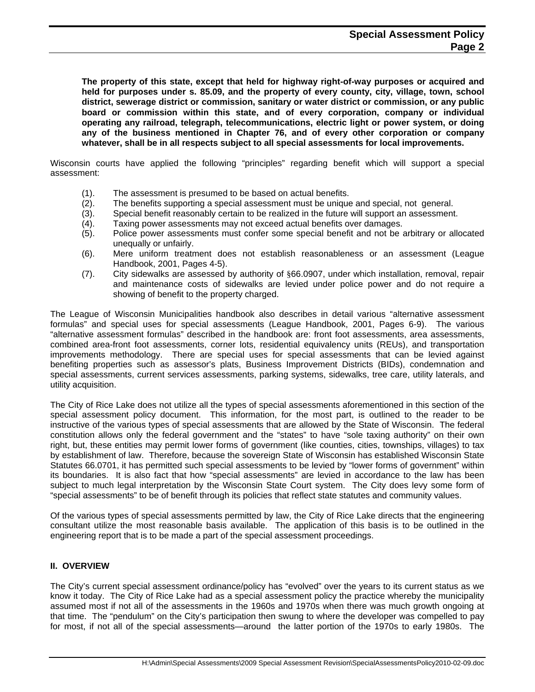**The property of this state, except that held for highway right-of-way purposes or acquired and held for purposes under s. 85.09, and the property of every county, city, village, town, school district, sewerage district or commission, sanitary or water district or commission, or any public board or commission within this state, and of every corporation, company or individual operating any railroad, telegraph, telecommunications, electric light or power system, or doing any of the business mentioned in Chapter 76, and of every other corporation or company whatever, shall be in all respects subject to all special assessments for local improvements.**

Wisconsin courts have applied the following "principles" regarding benefit which will support a special assessment:

- (1). The assessment is presumed to be based on actual benefits.
- (2). The benefits supporting a special assessment must be unique and special, not general.
- (3). Special benefit reasonably certain to be realized in the future will support an assessment.
- (4). Taxing power assessments may not exceed actual benefits over damages.
- (5). Police power assessments must confer some special benefit and not be arbitrary or allocated unequally or unfairly.
- (6). Mere uniform treatment does not establish reasonableness or an assessment (League Handbook, 2001, Pages 4-5).
- (7). City sidewalks are assessed by authority of §66.0907, under which installation, removal, repair and maintenance costs of sidewalks are levied under police power and do not require a showing of benefit to the property charged.

The League of Wisconsin Municipalities handbook also describes in detail various "alternative assessment formulas" and special uses for special assessments (League Handbook, 2001, Pages 6-9). The various "alternative assessment formulas" described in the handbook are: front foot assessments, area assessments, combined area-front foot assessments, corner lots, residential equivalency units (REUs), and transportation improvements methodology. There are special uses for special assessments that can be levied against benefiting properties such as assessor's plats, Business Improvement Districts (BIDs), condemnation and special assessments, current services assessments, parking systems, sidewalks, tree care, utility laterals, and utility acquisition.

The City of Rice Lake does not utilize all the types of special assessments aforementioned in this section of the special assessment policy document. This information, for the most part, is outlined to the reader to be instructive of the various types of special assessments that are allowed by the State of Wisconsin. The federal constitution allows only the federal government and the "states" to have "sole taxing authority" on their own right, but, these entities may permit lower forms of government (like counties, cities, townships, villages) to tax by establishment of law. Therefore, because the sovereign State of Wisconsin has established Wisconsin State Statutes 66.0701, it has permitted such special assessments to be levied by "lower forms of government" within its boundaries. It is also fact that how "special assessments" are levied in accordance to the law has been subject to much legal interpretation by the Wisconsin State Court system. The City does levy some form of "special assessments" to be of benefit through its policies that reflect state statutes and community values.

Of the various types of special assessments permitted by law, the City of Rice Lake directs that the engineering consultant utilize the most reasonable basis available. The application of this basis is to be outlined in the engineering report that is to be made a part of the special assessment proceedings.

#### **II. OVERVIEW**

The City's current special assessment ordinance/policy has "evolved" over the years to its current status as we know it today. The City of Rice Lake had as a special assessment policy the practice whereby the municipality assumed most if not all of the assessments in the 1960s and 1970s when there was much growth ongoing at that time. The "pendulum" on the City's participation then swung to where the developer was compelled to pay for most, if not all of the special assessments—around the latter portion of the 1970s to early 1980s. The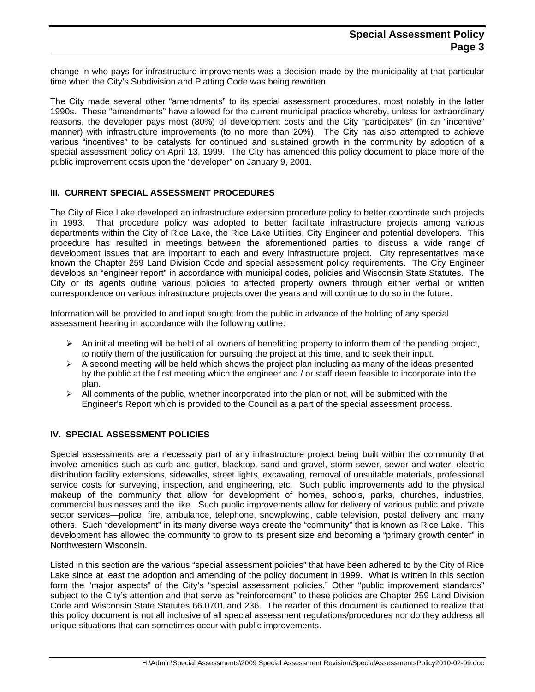change in who pays for infrastructure improvements was a decision made by the municipality at that particular time when the City's Subdivision and Platting Code was being rewritten.

The City made several other "amendments" to its special assessment procedures, most notably in the latter 1990s. These "amendments" have allowed for the current municipal practice whereby, unless for extraordinary reasons, the developer pays most (80%) of development costs and the City "participates" (in an "incentive" manner) with infrastructure improvements (to no more than 20%). The City has also attempted to achieve various "incentives" to be catalysts for continued and sustained growth in the community by adoption of a special assessment policy on April 13, 1999. The City has amended this policy document to place more of the public improvement costs upon the "developer" on January 9, 2001.

### **III. CURRENT SPECIAL ASSESSMENT PROCEDURES**

The City of Rice Lake developed an infrastructure extension procedure policy to better coordinate such projects in 1993. That procedure policy was adopted to better facilitate infrastructure projects among various departments within the City of Rice Lake, the Rice Lake Utilities, City Engineer and potential developers. This procedure has resulted in meetings between the aforementioned parties to discuss a wide range of development issues that are important to each and every infrastructure project. City representatives make known the Chapter 259 Land Division Code and special assessment policy requirements. The City Engineer develops an "engineer report" in accordance with municipal codes, policies and Wisconsin State Statutes. The City or its agents outline various policies to affected property owners through either verbal or written correspondence on various infrastructure projects over the years and will continue to do so in the future.

Information will be provided to and input sought from the public in advance of the holding of any special assessment hearing in accordance with the following outline:

- $\triangleright$  An initial meeting will be held of all owners of benefitting property to inform them of the pending project, to notify them of the justification for pursuing the project at this time, and to seek their input.
- $\triangleright$  A second meeting will be held which shows the project plan including as many of the ideas presented by the public at the first meeting which the engineer and / or staff deem feasible to incorporate into the plan.
- $\triangleright$  All comments of the public, whether incorporated into the plan or not, will be submitted with the Engineer's Report which is provided to the Council as a part of the special assessment process.

#### **IV. SPECIAL ASSESSMENT POLICIES**

Special assessments are a necessary part of any infrastructure project being built within the community that involve amenities such as curb and gutter, blacktop, sand and gravel, storm sewer, sewer and water, electric distribution facility extensions, sidewalks, street lights, excavating, removal of unsuitable materials, professional service costs for surveying, inspection, and engineering, etc. Such public improvements add to the physical makeup of the community that allow for development of homes, schools, parks, churches, industries, commercial businesses and the like. Such public improvements allow for delivery of various public and private sector services—police, fire, ambulance, telephone, snowplowing, cable television, postal delivery and many others. Such "development" in its many diverse ways create the "community" that is known as Rice Lake. This development has allowed the community to grow to its present size and becoming a "primary growth center" in Northwestern Wisconsin.

Listed in this section are the various "special assessment policies" that have been adhered to by the City of Rice Lake since at least the adoption and amending of the policy document in 1999. What is written in this section form the "major aspects" of the City's "special assessment policies." Other "public improvement standards" subject to the City's attention and that serve as "reinforcement" to these policies are Chapter 259 Land Division Code and Wisconsin State Statutes 66.0701 and 236. The reader of this document is cautioned to realize that this policy document is not all inclusive of all special assessment regulations/procedures nor do they address all unique situations that can sometimes occur with public improvements.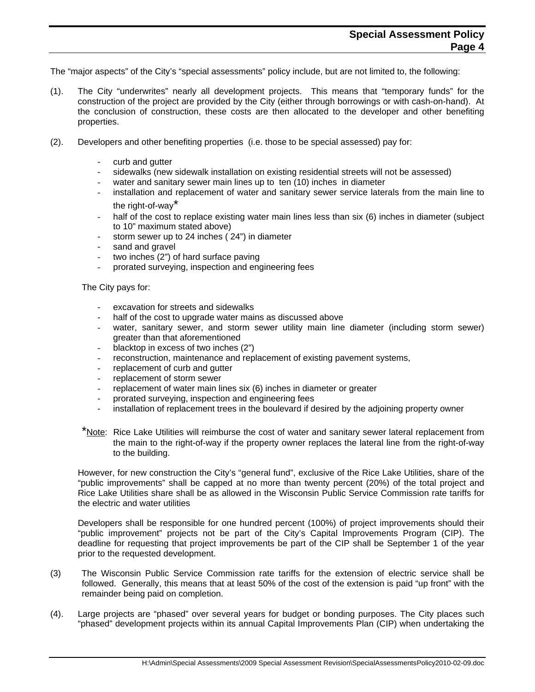The "major aspects" of the City's "special assessments" policy include, but are not limited to, the following:

- (1). The City "underwrites" nearly all development projects. This means that "temporary funds" for the construction of the project are provided by the City (either through borrowings or with cash-on-hand). At the conclusion of construction, these costs are then allocated to the developer and other benefiting properties.
- (2). Developers and other benefiting properties (i.e. those to be special assessed) pay for:
	- curb and gutter
	- sidewalks (new sidewalk installation on existing residential streets will not be assessed)
	- water and sanitary sewer main lines up to ten (10) inches in diameter
	- installation and replacement of water and sanitary sewer service laterals from the main line to the right-of-way\*
	- half of the cost to replace existing water main lines less than six (6) inches in diameter (subject to 10" maximum stated above)
	- storm sewer up to 24 inches ( 24") in diameter
	- sand and gravel
	- two inches (2") of hard surface paving
	- prorated surveying, inspection and engineering fees

The City pays for:

- excavation for streets and sidewalks
- half of the cost to upgrade water mains as discussed above
- water, sanitary sewer, and storm sewer utility main line diameter (including storm sewer) greater than that aforementioned
- blacktop in excess of two inches (2")
- reconstruction, maintenance and replacement of existing pavement systems,
- replacement of curb and gutter
- replacement of storm sewer
- replacement of water main lines six (6) inches in diameter or greater
- prorated surveying, inspection and engineering fees
- installation of replacement trees in the boulevard if desired by the adjoining property owner
- \*Note: Rice Lake Utilities will reimburse the cost of water and sanitary sewer lateral replacement from the main to the right-of-way if the property owner replaces the lateral line from the right-of-way to the building.

However, for new construction the City's "general fund", exclusive of the Rice Lake Utilities, share of the "public improvements" shall be capped at no more than twenty percent (20%) of the total project and Rice Lake Utilities share shall be as allowed in the Wisconsin Public Service Commission rate tariffs for the electric and water utilities

Developers shall be responsible for one hundred percent (100%) of project improvements should their "public improvement" projects not be part of the City's Capital Improvements Program (CIP). The deadline for requesting that project improvements be part of the CIP shall be September 1 of the year prior to the requested development.

- (3) The Wisconsin Public Service Commission rate tariffs for the extension of electric service shall be followed. Generally, this means that at least 50% of the cost of the extension is paid "up front" with the remainder being paid on completion.
- (4). Large projects are "phased" over several years for budget or bonding purposes. The City places such "phased" development projects within its annual Capital Improvements Plan (CIP) when undertaking the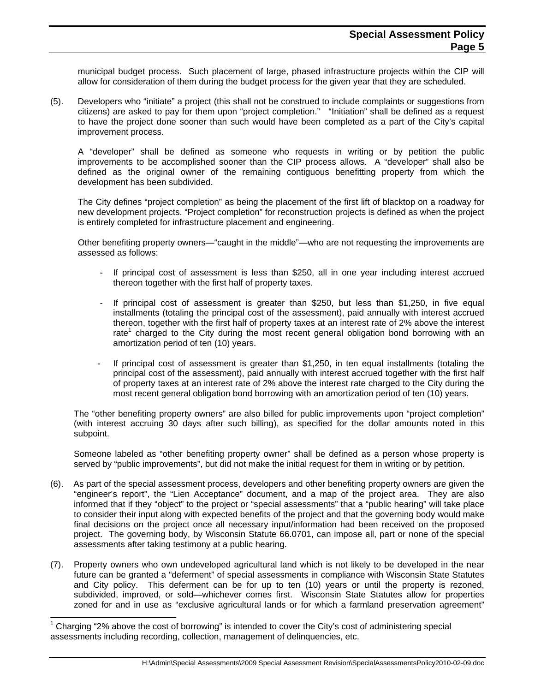municipal budget process. Such placement of large, phased infrastructure projects within the CIP will allow for consideration of them during the budget process for the given year that they are scheduled.

(5). Developers who "initiate" a project (this shall not be construed to include complaints or suggestions from citizens) are asked to pay for them upon "project completion." "Initiation" shall be defined as a request to have the project done sooner than such would have been completed as a part of the City's capital improvement process.

A "developer" shall be defined as someone who requests in writing or by petition the public improvements to be accomplished sooner than the CIP process allows. A "developer" shall also be defined as the original owner of the remaining contiguous benefitting property from which the development has been subdivided.

The City defines "project completion" as being the placement of the first lift of blacktop on a roadway for new development projects. "Project completion" for reconstruction projects is defined as when the project is entirely completed for infrastructure placement and engineering.

 Other benefiting property owners—"caught in the middle"—who are not requesting the improvements are assessed as follows:

- If principal cost of assessment is less than \$250, all in one year including interest accrued thereon together with the first half of property taxes.
- If principal cost of assessment is greater than \$250, but less than \$1,250, in five equal installments (totaling the principal cost of the assessment), paid annually with interest accrued thereon, together with the first half of property taxes at an interest rate of 2% above the interest rate<sup>1</sup> charged to the City during the most recent general obligation bond borrowing with an amortization period of ten (10) years.
- If principal cost of assessment is greater than \$1,250, in ten equal installments (totaling the principal cost of the assessment), paid annually with interest accrued together with the first half of property taxes at an interest rate of 2% above the interest rate charged to the City during the most recent general obligation bond borrowing with an amortization period of ten (10) years.

The "other benefiting property owners" are also billed for public improvements upon "project completion" (with interest accruing 30 days after such billing), as specified for the dollar amounts noted in this subpoint.

Someone labeled as "other benefiting property owner" shall be defined as a person whose property is served by "public improvements", but did not make the initial request for them in writing or by petition.

- (6). As part of the special assessment process, developers and other benefiting property owners are given the "engineer's report", the "Lien Acceptance" document, and a map of the project area. They are also informed that if they "object" to the project or "special assessments" that a "public hearing" will take place to consider their input along with expected benefits of the project and that the governing body would make final decisions on the project once all necessary input/information had been received on the proposed project. The governing body, by Wisconsin Statute 66.0701, can impose all, part or none of the special assessments after taking testimony at a public hearing.
- (7). Property owners who own undeveloped agricultural land which is not likely to be developed in the near future can be granted a "deferment" of special assessments in compliance with Wisconsin State Statutes and City policy. This deferment can be for up to ten (10) years or until the property is rezoned, subdivided, improved, or sold—whichever comes first. Wisconsin State Statutes allow for properties zoned for and in use as "exclusive agricultural lands or for which a farmland preservation agreement"

 $\overline{a}$ 

<sup>1</sup> Charging "2% above the cost of borrowing" is intended to cover the City's cost of administering special assessments including recording, collection, management of delinquencies, etc.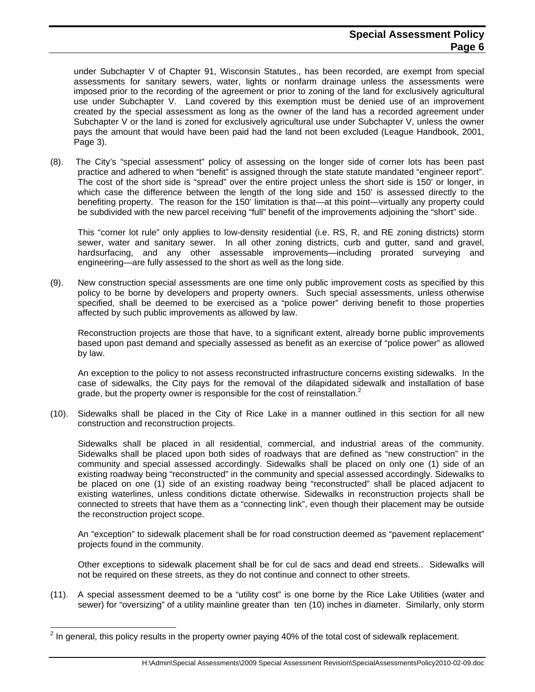under Subchapter V of Chapter 91, Wisconsin Statutes., has been recorded, are exempt from special assessments for sanitary sewers, water, lights or nonfarm drainage unless the assessments were imposed prior to the recording of the agreement or prior to zoning of the land for exclusively agricultural use under Subchapter V. Land covered by this exemption must be denied use of an improvement created by the special assessment as long as the owner of the land has a recorded agreement under Subchapter V or the land is zoned for exclusively agricultural use under Subchapter V, unless the owner pays the amount that would have been paid had the land not been excluded (League Handbook, 2001, Page 3).

(8). The City's "special assessment" policy of assessing on the longer side of corner lots has been past practice and adhered to when "benefit" is assigned through the state statute mandated "engineer report". The cost of the short side is "spread" over the entire project unless the short side is 150' or longer, in which case the difference between the length of the long side and 150' is assessed directly to the benefiting property. The reason for the 150' limitation is that—at this point—virtually any property could be subdivided with the new parcel receiving "full" benefit of the improvements adjoining the "short" side.

This "corner lot rule" only applies to low-density residential (i.e. RS, R, and RE zoning districts) storm sewer, water and sanitary sewer. In all other zoning districts, curb and gutter, sand and gravel, hardsurfacing, and any other assessable improvements—including prorated surveying and engineering—are fully assessed to the short as well as the long side.

(9). New construction special assessments are one time only public improvement costs as specified by this policy to be borne by developers and property owners. Such special assessments, unless otherwise specified, shall be deemed to be exercised as a "police power" deriving benefit to those properties affected by such public improvements as allowed by law.

 Reconstruction projects are those that have, to a significant extent, already borne public improvements based upon past demand and specially assessed as benefit as an exercise of "police power" as allowed by law.

 An exception to the policy to not assess reconstructed infrastructure concerns existing sidewalks. In the case of sidewalks, the City pays for the removal of the dilapidated sidewalk and installation of base grade, but the property owner is responsible for the cost of reinstallation.<sup>2</sup>

(10). Sidewalks shall be placed in the City of Rice Lake in a manner outlined in this section for all new construction and reconstruction projects.

 Sidewalks shall be placed in all residential, commercial, and industrial areas of the community. Sidewalks shall be placed upon both sides of roadways that are defined as "new construction" in the community and special assessed accordingly. Sidewalks shall be placed on only one (1) side of an existing roadway being "reconstructed" in the community and special assessed accordingly. Sidewalks to be placed on one (1) side of an existing roadway being "reconstructed" shall be placed adjacent to existing waterlines, unless conditions dictate otherwise. Sidewalks in reconstruction projects shall be connected to streets that have them as a "connecting link", even though their placement may be outside the reconstruction project scope.

 An "exception" to sidewalk placement shall be for road construction deemed as "pavement replacement" projects found in the community.

Other exceptions to sidewalk placement shall be for cul de sacs and dead end streets.. Sidewalks will not be required on these streets, as they do not continue and connect to other streets.

(11). A special assessment deemed to be a "utility cost" is one borne by the Rice Lake Utilities (water and sewer) for "oversizing" of a utility mainline greater than ten (10) inches in diameter. Similarly, only storm

l

 $2$  In general, this policy results in the property owner paying 40% of the total cost of sidewalk replacement.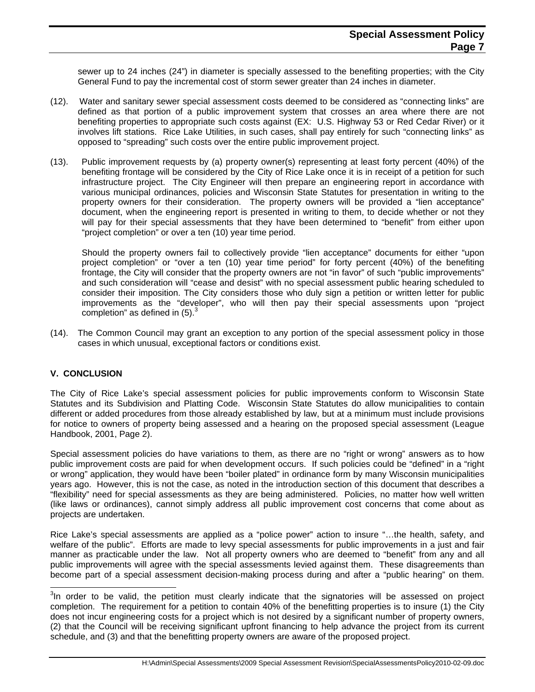sewer up to 24 inches (24") in diameter is specially assessed to the benefiting properties; with the City General Fund to pay the incremental cost of storm sewer greater than 24 inches in diameter.

- (12). Water and sanitary sewer special assessment costs deemed to be considered as "connecting links" are defined as that portion of a public improvement system that crosses an area where there are not benefiting properties to appropriate such costs against (EX: U.S. Highway 53 or Red Cedar River) or it involves lift stations. Rice Lake Utilities, in such cases, shall pay entirely for such "connecting links" as opposed to "spreading" such costs over the entire public improvement project.
- (13). Public improvement requests by (a) property owner(s) representing at least forty percent (40%) of the benefiting frontage will be considered by the City of Rice Lake once it is in receipt of a petition for such infrastructure project. The City Engineer will then prepare an engineering report in accordance with various municipal ordinances, policies and Wisconsin State Statutes for presentation in writing to the property owners for their consideration. The property owners will be provided a "lien acceptance" document, when the engineering report is presented in writing to them, to decide whether or not they will pay for their special assessments that they have been determined to "benefit" from either upon "project completion" or over a ten (10) year time period.

 Should the property owners fail to collectively provide "lien acceptance" documents for either "upon project completion" or "over a ten (10) year time period" for forty percent (40%) of the benefiting frontage, the City will consider that the property owners are not "in favor" of such "public improvements" and such consideration will "cease and desist" with no special assessment public hearing scheduled to consider their imposition. The City considers those who duly sign a petition or written letter for public improvements as the "developer", who will then pay their special assessments upon "project completion" as defined in  $(5)$ .<sup>3</sup>

(14). The Common Council may grant an exception to any portion of the special assessment policy in those cases in which unusual, exceptional factors or conditions exist.

## **V. CONCLUSION**

l

The City of Rice Lake's special assessment policies for public improvements conform to Wisconsin State Statutes and its Subdivision and Platting Code. Wisconsin State Statutes do allow municipalities to contain different or added procedures from those already established by law, but at a minimum must include provisions for notice to owners of property being assessed and a hearing on the proposed special assessment (League Handbook, 2001, Page 2).

Special assessment policies do have variations to them, as there are no "right or wrong" answers as to how public improvement costs are paid for when development occurs. If such policies could be "defined" in a "right or wrong" application, they would have been "boiler plated" in ordinance form by many Wisconsin municipalities years ago. However, this is not the case, as noted in the introduction section of this document that describes a "flexibility" need for special assessments as they are being administered. Policies, no matter how well written (like laws or ordinances), cannot simply address all public improvement cost concerns that come about as projects are undertaken.

Rice Lake's special assessments are applied as a "police power" action to insure "…the health, safety, and welfare of the public". Efforts are made to levy special assessments for public improvements in a just and fair manner as practicable under the law. Not all property owners who are deemed to "benefit" from any and all public improvements will agree with the special assessments levied against them. These disagreements than become part of a special assessment decision-making process during and after a "public hearing" on them.

 $3$ In order to be valid, the petition must clearly indicate that the signatories will be assessed on project completion. The requirement for a petition to contain 40% of the benefitting properties is to insure (1) the City does not incur engineering costs for a project which is not desired by a significant number of property owners, (2) that the Council will be receiving significant upfront financing to help advance the project from its current schedule, and (3) and that the benefitting property owners are aware of the proposed project.